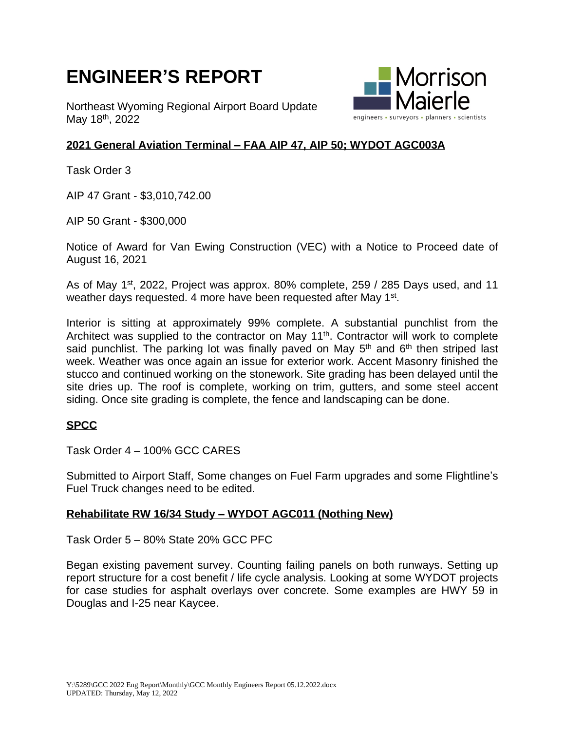# **ENGINEER'S REPORT**

Northeast Wyoming Regional Airport Board Update May 18<sup>th</sup>, 2022



## **2021 General Aviation Terminal – FAA AIP 47, AIP 50; WYDOT AGC003A**

Task Order 3

AIP 47 Grant - \$3,010,742.00

AIP 50 Grant - \$300,000

Notice of Award for Van Ewing Construction (VEC) with a Notice to Proceed date of August 16, 2021

As of May 1<sup>st</sup>, 2022, Project was approx. 80% complete, 259 / 285 Days used, and 11 weather days requested. 4 more have been requested after May 1<sup>st</sup>.

Interior is sitting at approximately 99% complete. A substantial punchlist from the Architect was supplied to the contractor on May 11<sup>th</sup>. Contractor will work to complete said punchlist. The parking lot was finally paved on May 5<sup>th</sup> and 6<sup>th</sup> then striped last week. Weather was once again an issue for exterior work. Accent Masonry finished the stucco and continued working on the stonework. Site grading has been delayed until the site dries up. The roof is complete, working on trim, gutters, and some steel accent siding. Once site grading is complete, the fence and landscaping can be done.

### **SPCC**

Task Order 4 – 100% GCC CARES

Submitted to Airport Staff, Some changes on Fuel Farm upgrades and some Flightline's Fuel Truck changes need to be edited.

### **Rehabilitate RW 16/34 Study – WYDOT AGC011 (Nothing New)**

Task Order 5 – 80% State 20% GCC PFC

Began existing pavement survey. Counting failing panels on both runways. Setting up report structure for a cost benefit / life cycle analysis. Looking at some WYDOT projects for case studies for asphalt overlays over concrete. Some examples are HWY 59 in Douglas and I-25 near Kaycee.